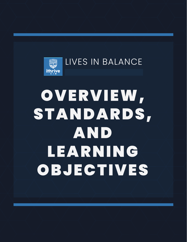

# OVERVIEW, STANDARDS, AND LEARNING OBJECTIVES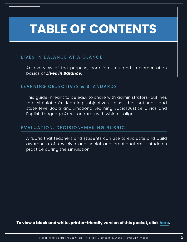## **TABLE OF CONTENTS**

#### LIVES IN BALANCE AT A GLANCE

[An overview of the purpose, core features, and implementation](#page-2-0)  basics of *Lives in Balance*.

#### LEARNING OBJECTIVES & STANDARDS

[This guide–meant to be easy to share with administrators–outlines](#page-3-0)  the simulation's learning objectives, plus the national and state-level Social and Emotional Learning, Social Justice, Civics, and English Language Arts standards with which it aligns.

#### EVALUATION: DECISION-MAKING RUBRIC

[A rubric that teachers and students can use to evaluate and build](#page-7-0)  awareness of key civic and social and emotional skills students practice during the simulation.

**To view a black and white, printer-friendly version of this packet, click [here.](https://ithrivegames.org/wp-content/uploads/2021/03/LIB-Overview-Standards-Learning-Objectives-PF.pdf)**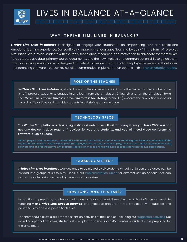<span id="page-2-0"></span>

LIVES IN BALANCE AT-A-GLANCE

#### WHY ITHRIVE SIM: LIVES IN BALANCE?

*iThrive Sim: Lives in Balance* is designed to engage your students in an empowering civic and social and emotional learning experience. Our scaffolding approach encourages "learning by doing" in the form of role-play simulation. We provide students with the tools, techniques, resources, and motivation to advocate for themselves. To do so, they use data, primary source documents, and their own values and communication skills to guide them. This role-playing simulation was designed for virtual classrooms but can also be played in person without video conferencing software. You can review all recommended implementation options in this *Implementation Guide*.

#### ROLE OF THE TEACHER

In *iThrive Sim: Lives in Balance*, students control the conversation and make the decisions. The teacher's role is to 1) prepare students to engage in and learn from the simulation, 2) launch and run the simulation from the *iThrive Sim* platform (unless iThrive Sim staff is facilitating for you), 3) observe the simulation live or via recording if possible, and 4) guide students in debriefing the simulation.

#### TECHNOLOGY SPECS

The *iThrive Sim* platform is device-agnostic and web-based. It will work anywhere you have WiFi. You can use any device. It does require 1:1 devices for you and students, and you will need video conferencing software, such as Zoom.

TIP: For players using one screen, please advise them to size the *iThrive Sim: Lives in Balance* game window to at least half the screen size so they can see the whole platform. If players can use two screens to play, they can use one for video conferencing software and one for the *iThrive Sim* platform. Players on mobile phones will need to toggle between the two applications.

#### CLASSROOM SETUP

*iThrive Sim: Lives in Balance* was designed to be played by six students, virtually or in person. Classes can be divided into groups of six to play. Consult our **Implementation Guide** for different set-up options that can accommodate various scheduling needs and class sizes.

#### HOW LONG DOES THIS TAKE?

In addition to prep time, teachers should plan to devote at least three class periods of 45 minutes each to teaching with *iThrive Sim: Lives in Balance*: one period to prepare for the simulation with students, one period to play and one period to debrief.

Teachers should allow extra time for extension activities of their choice, including our [suggested activities. N](https://ithrivegames.org/lives-in-balance-getting-started/)ot including optional activities, students should plan to spend about 45 minutes outside of class preparing for the simulation.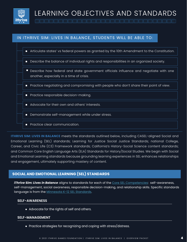<span id="page-3-0"></span>

#### IN ITHRIVE SIM: LIVES IN BALANCE, STUDENTS WILL BE ABLE TO:



**ITHRIVE SIM: LIVES IN BALANCE** meets the standards outlined below, including CASEL-aligned Social and Emotional Learning (SEL) standards; Learning for Justice Social Justice Standards; national College, Career, and Civic Life (C3) Framework standards; California's History-Social Science content standards; and Common Core English Language Arts (ELA) Standards for History/Social Studies. We begin with Social and Emotional Learning standards because grounding learning experiences in SEL enhances relationships and engagement, ultimately supporting mastery of content.

#### **SOCIAL AND EMOTIONAL LEARNING (SEL) STANDARDS**

*iThrive Sim: Lives in Balance* aligns to standards for each of th[e Core SEL Competencies:](https://casel.org/core-competencies/) self-awareness, self-management, social awareness, responsible decision-making, and relationship skills. Specific standards language is from the [Minnesota K-12 SEL Standards.](https://education.mn.gov/MDE/dse/safe/social/imp/)

#### **SELF-AWARENESS**

• Advocate for the rights of self and others.

#### **SELF-MANAGEMENT**

• Practice strategies for recognizing and coping with stress/distress.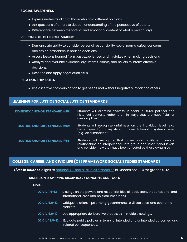- Express understanding of those who hold different opinions.
- Ask questions of others to deepen understanding of the perspective of others.
- Differentiate between the factual and emotional content of what a person says.

#### **RESPONSIBLE DECISION-MAKING**

- Demonstrate ability to consider personal responsibility, social norms, safety concerns and ethical standards in making decisions.
- Assess lessons learned from past experiences and mistakes when making decisions.
- Analyze and evaluate evidence, arguments, claims, and beliefs to inform effective decisions.
- Describe and apply negotiation skills.

#### **RELATIONSHIP SKILLS**

Use assertive communication to get needs met without negatively impacting others.

#### **LEARNING FOR JUSTICE SOCIAL JUSTICE STANDARDS**

| <b>DIVERSITY ANCHOR STANDARD #10:</b> | Students will examine diversity in social, cultural, political and<br>historical contexts rather than in ways that are superficial or<br>oversimplified.                                         |
|---------------------------------------|--------------------------------------------------------------------------------------------------------------------------------------------------------------------------------------------------|
| <b>JUSTICE ANCHOR STANDARD #12:</b>   | Students will recognize unfairness on the individual level (e.g.,<br>biased speech) and injustice at the institutional or systemic level<br>(e.g., discrimination).                              |
| <b>JUSTICE ANCHOR STANDARD #14</b>    | Students will recognize that power and privilege influence<br>relationships on interpersonal, intergroup and institutional levels<br>and consider how they have been affected by those dynamics. |

#### **COLLEGE, CAREER, AND CIVIC LIFE (C3) FRAMEWORK SOCIAL STUDIES STANDARDS**

**Lives in Balance** aligns t[o national C3 social studies standards i](https://www.socialstudies.org/standards/c3)n Dimensions 2-4 for grades 9-12.

#### **DIMENSION 2: APPLYING DISCIPLINARY CONCEPTS AND TOOLS**

#### **CIVICS**

| <b>D2.Civ.1.9-12</b> | Distinguish the powers and responsibilities of local, state, tribal, national and<br>international civic and political institutions. |
|----------------------|--------------------------------------------------------------------------------------------------------------------------------------|
| <b>D2.Civ.6.9-12</b> | Critique relationships among governments, civil societies, and economic<br>markets.                                                  |
| <b>D2.Civ.9.9-12</b> | Use appropriate deliberative processes in multiple settings.                                                                         |
| D2.Civ.13.9-12       | Evaluate public policies in terms of intended and unintended outcomes, and<br>related consequences.                                  |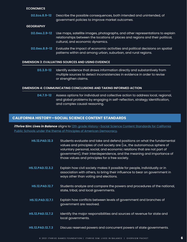#### **ECONOMICS**

Describe the possible consequences, both intended and unintended, of government policies to improve market outcomes. **D2.Eco.8.9-12**

#### **GEOGRAPHY**

- **D2.Geo.2.9-12** Use maps, satellite images, photographs, and other representations to explain  $\overline{\phantom{a}}$ relationships between the locations of places and regions and their political, cultural, and economic dynamics.
- **D2.Geo.8.9-12** Evaluate the impact of economic activities and political decisions on spatial  $\overline{\phantom{a}}$ patterns within and among urban, suburban, and rural regions.

#### **DIMENSION 3: EVALUATING SOURCES AND USING EVIDENCE**

Identify evidence that draws information directly and substantively from multiple sources to detect inconsistencies in evidence in order to revise or strengthen claims. **D3.3.9-12**

#### **DIMENSION 4: COMMUNICATING CONCLUSIONS AND TAKING INFORMED ACTION**

Assess options for individual and collective action to address local, regional, and global problems by engaging in self-reflection, strategy identification, and complex causal reasoning. **D4.7.9-12**

#### **CALIFORNIA HISTORY—SOCIAL SCIENCE CONTENT STANDARDS**

*iThrive Sim: Lives in Balance* aligns to [12th grade History—Social Science Content Standards for California](https://www.cde.ca.gov/BE/ST/SS/documents/histsocscistnd.pdf)  [Public Schools under the theme of Princ](https://www.cde.ca.gov/BE/ST/SS/documents/histsocscistnd.pdf)iples of American Democracy.

| <b>HS.12.PAD.12.3</b>   | Students evaluate and take and defend positions on what the fundamental<br>values and principles of civil society are (i.e., the autonomous sphere of<br>voluntary personal, social, and economic relations that are not part of<br>government), their interdependence, and the meaning and importance of<br>those values and principles for a free society. |
|-------------------------|--------------------------------------------------------------------------------------------------------------------------------------------------------------------------------------------------------------------------------------------------------------------------------------------------------------------------------------------------------------|
| <b>HS.12.PAD.12.3.2</b> | Explain how civil society makes it possible for people, individually or in<br>association with others, to bring their influence to bear on government in<br>ways other than voting and elections.                                                                                                                                                            |
| <b>HS.12.PAD.12.7</b>   | Students analyze and compare the powers and procedures of the national,<br>state, tribal, and local governments.                                                                                                                                                                                                                                             |
| HS.12.PAD.12.7.1        | Explain how conflicts between levels of government and branches of<br>government are resolved.                                                                                                                                                                                                                                                               |
| <b>HS.12.PAD.12.7.2</b> | Identify the major responsibilities and sources of revenue for state and<br>local governments.                                                                                                                                                                                                                                                               |
| HS.12.PAD.12.7.3        | Discuss reserved powers and concurrent powers of state governments.                                                                                                                                                                                                                                                                                          |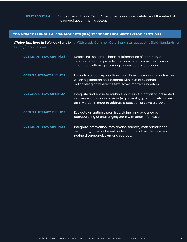#### **COMMON CORE ENGLISH LANGUAGE ARTS (ELA) STANDARDS FOR HISTORY/SOCIAL STUDIES**

*iThrive Sim: Lives in Balance* [aligns to 11th-12th grade Common Core English Language Arts \(ELA\) Standards for](http://www.corestandards.org/ELA-Literacy/RH/11-12/)  History/Social Studies.

| CCSS.ELA-LITERACY.RH.11-12.2        | Determine the central ideas or information of a primary or<br>secondary source; provide an accurate summary that makes<br>clear the relationships among the key details and ideas.                           |
|-------------------------------------|--------------------------------------------------------------------------------------------------------------------------------------------------------------------------------------------------------------|
| <b>CCSS.ELA-LITERACY.RH.11-12.3</b> | Evaluate various explanations for actions or events and determine<br>which explanation best accords with textual evidence,<br>acknowledging where the text leaves matters uncertain.                         |
| CCSS.ELA-LITERACY.RH.11-12.7        | Integrate and evaluate multiple sources of information presented<br>in diverse formats and media (e.g., visually, quantitatively, as well<br>as in words) in order to address a question or solve a problem. |
| <b>CCSS.ELA-LITERACY.RH.11-12.8</b> | Evaluate an author's premises, claims, and evidence by<br>corroborating or challenging them with other information.                                                                                          |
| <b>CCSS.ELA-LITERACY.RH.11-12.9</b> | Integrate information from diverse sources, both primary and<br>secondary, into a coherent understanding of an idea or event,<br>noting discrepancies among sources.                                         |